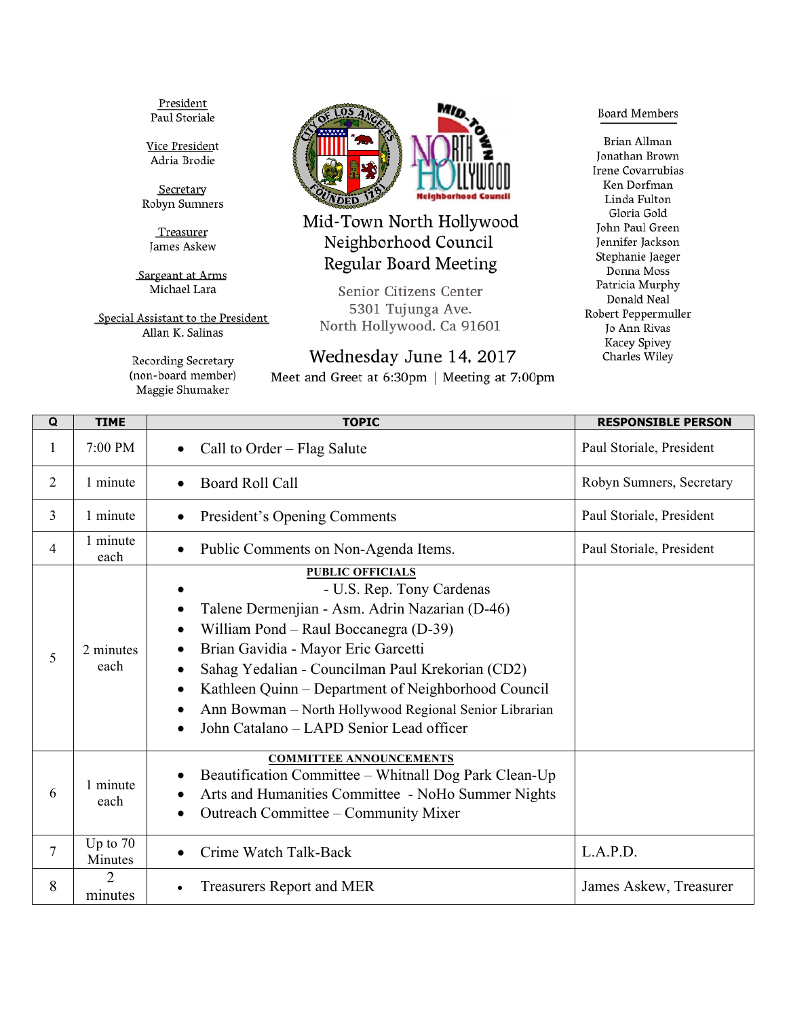President Paul Storiale

Vice President Adria Brodie

Secretary Robyn Sumners

Treasurer James Askew

Sargeant at Arms Michael Lara

Special Assistant to the President Allan K. Salinas

> Recording Secretary (non-board member) Maggie Shumaker



Mid-Town North Hollywood Neighborhood Council **Regular Board Meeting** 

Senior Citizens Center 5301 Tujunga Ave. North Hollywood, Ca 91601

## Wednesday June 14, 2017

Meet and Greet at 6:30pm | Meeting at 7:00pm

**Board Members** 

**Brian Allman** Jonathan Brown Irene Covarrubias Ken Dorfman Linda Fulton Gloria Gold John Paul Green Jennifer Jackson Stephanie Jaeger Donna Moss Patricia Murphy Donald Neal Robert Peppermuller Jo Ann Rivas Kacey Spivey Charles Wiley

| Q              | <b>TIME</b>           | <b>TOPIC</b>                                                                                                                                                                                                                                                                                                                                                                                                                                   | <b>RESPONSIBLE PERSON</b> |
|----------------|-----------------------|------------------------------------------------------------------------------------------------------------------------------------------------------------------------------------------------------------------------------------------------------------------------------------------------------------------------------------------------------------------------------------------------------------------------------------------------|---------------------------|
| 1              | 7:00 PM               | Call to Order – Flag Salute                                                                                                                                                                                                                                                                                                                                                                                                                    | Paul Storiale, President  |
| $\overline{2}$ | 1 minute              | <b>Board Roll Call</b><br>$\bullet$                                                                                                                                                                                                                                                                                                                                                                                                            | Robyn Sumners, Secretary  |
| 3              | 1 minute              | President's Opening Comments                                                                                                                                                                                                                                                                                                                                                                                                                   | Paul Storiale, President  |
| 4              | 1 minute<br>each      | Public Comments on Non-Agenda Items.<br>$\bullet$                                                                                                                                                                                                                                                                                                                                                                                              | Paul Storiale, President  |
| 5              | 2 minutes<br>each     | <b>PUBLIC OFFICIALS</b><br>- U.S. Rep. Tony Cardenas<br>Talene Dermenjian - Asm. Adrin Nazarian (D-46)<br>William Pond – Raul Boccanegra (D-39)<br>$\bullet$<br>Brian Gavidia - Mayor Eric Garcetti<br>Sahag Yedalian - Councilman Paul Krekorian (CD2)<br>Kathleen Quinn – Department of Neighborhood Council<br>$\bullet$<br>Ann Bowman - North Hollywood Regional Senior Librarian<br>John Catalano - LAPD Senior Lead officer<br>$\bullet$ |                           |
| 6              | 1 minute<br>each      | <b>COMMITTEE ANNOUNCEMENTS</b><br>Beautification Committee – Whitnall Dog Park Clean-Up<br>Arts and Humanities Committee - NoHo Summer Nights<br>$\bullet$<br>Outreach Committee - Community Mixer                                                                                                                                                                                                                                             |                           |
| $\overline{7}$ | Up to $70$<br>Minutes | Crime Watch Talk-Back                                                                                                                                                                                                                                                                                                                                                                                                                          | L.A.P.D.                  |
| 8              | minutes               | <b>Treasurers Report and MER</b>                                                                                                                                                                                                                                                                                                                                                                                                               | James Askew, Treasurer    |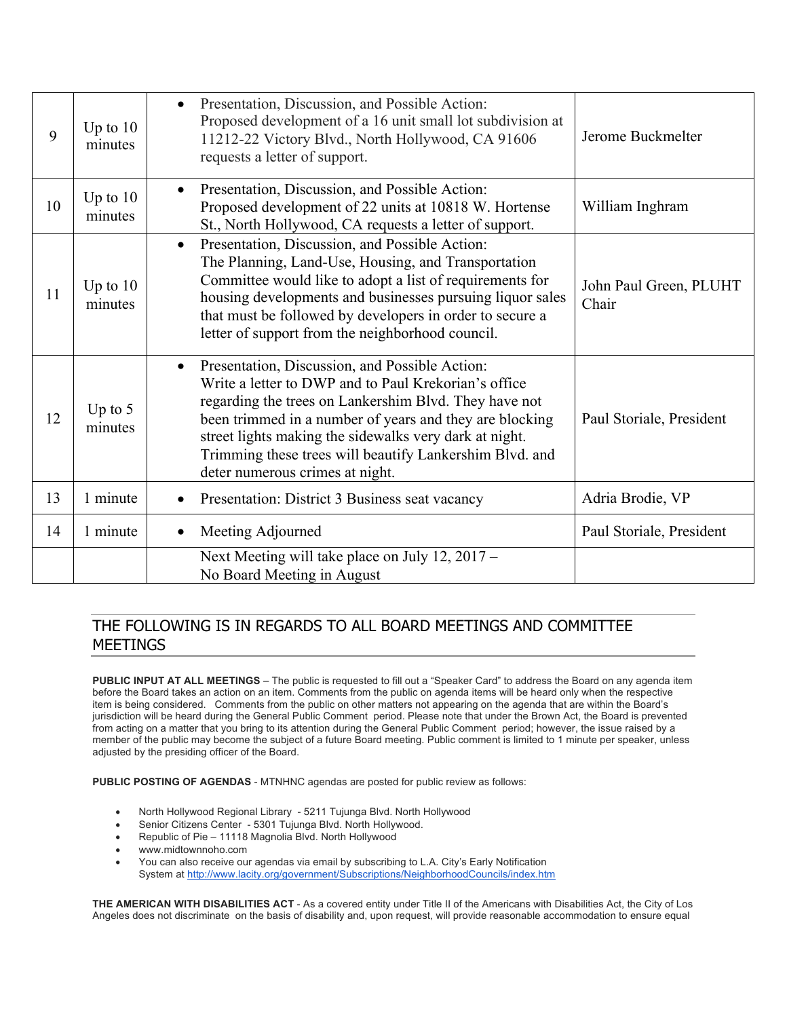| 9  | Up to $10$<br>minutes | Presentation, Discussion, and Possible Action:<br>$\bullet$<br>Proposed development of a 16 unit small lot subdivision at<br>11212-22 Victory Blvd., North Hollywood, CA 91606<br>requests a letter of support.                                                                                                                                                                                 | Jerome Buckmelter               |
|----|-----------------------|-------------------------------------------------------------------------------------------------------------------------------------------------------------------------------------------------------------------------------------------------------------------------------------------------------------------------------------------------------------------------------------------------|---------------------------------|
| 10 | Up to $10$<br>minutes | Presentation, Discussion, and Possible Action:<br>$\bullet$<br>Proposed development of 22 units at 10818 W. Hortense<br>St., North Hollywood, CA requests a letter of support.                                                                                                                                                                                                                  | William Inghram                 |
| 11 | Up to $10$<br>minutes | Presentation, Discussion, and Possible Action:<br>$\bullet$<br>The Planning, Land-Use, Housing, and Transportation<br>Committee would like to adopt a list of requirements for<br>housing developments and businesses pursuing liquor sales<br>that must be followed by developers in order to secure a<br>letter of support from the neighborhood council.                                     | John Paul Green, PLUHT<br>Chair |
| 12 | Up to $5$<br>minutes  | Presentation, Discussion, and Possible Action:<br>$\bullet$<br>Write a letter to DWP and to Paul Krekorian's office<br>regarding the trees on Lankershim Blvd. They have not<br>been trimmed in a number of years and they are blocking<br>street lights making the sidewalks very dark at night.<br>Trimming these trees will beautify Lankershim Blvd. and<br>deter numerous crimes at night. | Paul Storiale, President        |
| 13 | 1 minute              | Presentation: District 3 Business seat vacancy<br>$\bullet$                                                                                                                                                                                                                                                                                                                                     | Adria Brodie, VP                |
| 14 | 1 minute              | Meeting Adjourned<br>$\bullet$                                                                                                                                                                                                                                                                                                                                                                  | Paul Storiale, President        |
|    |                       | Next Meeting will take place on July 12, 2017 –<br>No Board Meeting in August                                                                                                                                                                                                                                                                                                                   |                                 |

## THE FOLLOWING IS IN REGARDS TO ALL BOARD MEETINGS AND COMMITTEE MEETINGS

**PUBLIC INPUT AT ALL MEETINGS** – The public is requested to fill out a "Speaker Card" to address the Board on any agenda item before the Board takes an action on an item. Comments from the public on agenda items will be heard only when the respective item is being considered. Comments from the public on other matters not appearing on the agenda that are within the Board's jurisdiction will be heard during the General Public Comment period. Please note that under the Brown Act, the Board is prevented from acting on a matter that you bring to its attention during the General Public Comment period; however, the issue raised by a member of the public may become the subject of a future Board meeting. Public comment is limited to 1 minute per speaker, unless adjusted by the presiding officer of the Board.

**PUBLIC POSTING OF AGENDAS** - MTNHNC agendas are posted for public review as follows:

- North Hollywood Regional Library 5211 Tujunga Blvd. North Hollywood
- Senior Citizens Center 5301 Tujunga Blvd. North Hollywood.
- Republic of Pie 11118 Magnolia Blvd. North Hollywood
- www.midtownnoho.com
- You can also receive our agendas via email by subscribing to L.A. City's Early Notification System at http://www.lacity.org/government/Subscriptions/NeighborhoodCouncils/index.htm

**THE AMERICAN WITH DISABILITIES ACT** - As a covered entity under Title II of the Americans with Disabilities Act, the City of Los Angeles does not discriminate on the basis of disability and, upon request, will provide reasonable accommodation to ensure equal